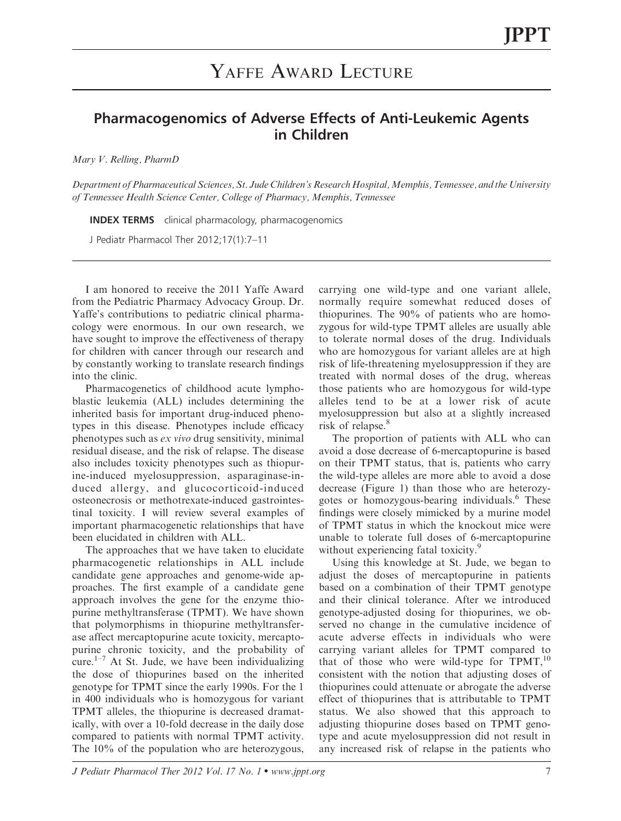## YAFFE AWARD LECTURE

## Pharmacogenomics of Adverse Effects of Anti-Leukemic Agents in Children

Mary V. Relling, PharmD

Department of Pharmaceutical Sciences, St. Jude Children's Research Hospital, Memphis, Tennessee, and the University of Tennessee Health Science Center, College of Pharmacy, Memphis, Tennessee

INDEX TERMS clinical pharmacology, pharmacogenomics

J Pediatr Pharmacol Ther 2012;17(1):7–11

I am honored to receive the 2011 Yaffe Award from the Pediatric Pharmacy Advocacy Group. Dr. Yaffe's contributions to pediatric clinical pharmacology were enormous. In our own research, we have sought to improve the effectiveness of therapy for children with cancer through our research and by constantly working to translate research findings into the clinic.

Pharmacogenetics of childhood acute lymphoblastic leukemia (ALL) includes determining the inherited basis for important drug-induced phenotypes in this disease. Phenotypes include efficacy phenotypes such as ex vivo drug sensitivity, minimal residual disease, and the risk of relapse. The disease also includes toxicity phenotypes such as thiopurine-induced myelosuppression, asparaginase-induced allergy, and glucocorticoid-induced osteonecrosis or methotrexate-induced gastrointestinal toxicity. I will review several examples of important pharmacogenetic relationships that have been elucidated in children with ALL.

The approaches that we have taken to elucidate pharmacogenetic relationships in ALL include candidate gene approaches and genome-wide approaches. The first example of a candidate gene approach involves the gene for the enzyme thiopurine methyltransferase (TPMT). We have shown that polymorphisms in thiopurine methyltransferase affect mercaptopurine acute toxicity, mercaptopurine chronic toxicity, and the probability of cure. $1-7$  At St. Jude, we have been individualizing the dose of thiopurines based on the inherited genotype for TPMT since the early 1990s. For the 1 in 400 individuals who is homozygous for variant TPMT alleles, the thiopurine is decreased dramatically, with over a 10-fold decrease in the daily dose compared to patients with normal TPMT activity. The 10% of the population who are heterozygous,

carrying one wild-type and one variant allele, normally require somewhat reduced doses of thiopurines. The 90% of patients who are homozygous for wild-type TPMT alleles are usually able to tolerate normal doses of the drug. Individuals who are homozygous for variant alleles are at high risk of life-threatening myelosuppression if they are treated with normal doses of the drug, whereas those patients who are homozygous for wild-type alleles tend to be at a lower risk of acute myelosuppression but also at a slightly increased risk of relapse.<sup>8</sup>

The proportion of patients with ALL who can avoid a dose decrease of 6-mercaptopurine is based on their TPMT status, that is, patients who carry the wild-type alleles are more able to avoid a dose decrease (Figure 1) than those who are heterozygotes or homozygous-bearing individuals.<sup>6</sup> These findings were closely mimicked by a murine model of TPMT status in which the knockout mice were unable to tolerate full doses of 6-mercaptopurine without experiencing fatal toxicity.<sup>9</sup>

Using this knowledge at St. Jude, we began to adjust the doses of mercaptopurine in patients based on a combination of their TPMT genotype and their clinical tolerance. After we introduced genotype-adjusted dosing for thiopurines, we observed no change in the cumulative incidence of acute adverse effects in individuals who were carrying variant alleles for TPMT compared to that of those who were wild-type for  $TPMT$ ,<sup>10</sup> consistent with the notion that adjusting doses of thiopurines could attenuate or abrogate the adverse effect of thiopurines that is attributable to TPMT status. We also showed that this approach to adjusting thiopurine doses based on TPMT genotype and acute myelosuppression did not result in any increased risk of relapse in the patients who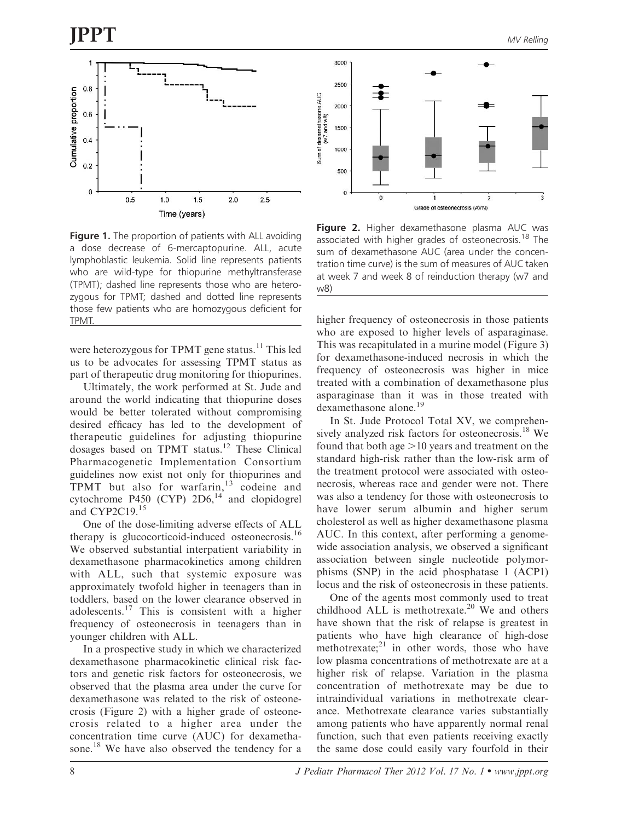

Figure 1. The proportion of patients with ALL avoiding a dose decrease of 6-mercaptopurine. ALL, acute lymphoblastic leukemia. Solid line represents patients who are wild-type for thiopurine methyltransferase (TPMT); dashed line represents those who are heterozygous for TPMT; dashed and dotted line represents those few patients who are homozygous deficient for TPMT.

were heterozygous for TPMT gene status.<sup>11</sup> This led us to be advocates for assessing TPMT status as part of therapeutic drug monitoring for thiopurines.

Ultimately, the work performed at St. Jude and around the world indicating that thiopurine doses would be better tolerated without compromising desired efficacy has led to the development of therapeutic guidelines for adjusting thiopurine dosages based on TPMT status.<sup>12</sup> These Clinical Pharmacogenetic Implementation Consortium guidelines now exist not only for thiopurines and TPMT but also for warfarin,<sup>13</sup> codeine and cytochrome P450 (CYP)  $2D6$ ,<sup>14</sup> and clopidogrel and CYP2C19.<sup>15</sup>

One of the dose-limiting adverse effects of ALL therapy is glucocorticoid-induced osteonecrosis.<sup>16</sup> We observed substantial interpatient variability in dexamethasone pharmacokinetics among children with ALL, such that systemic exposure was approximately twofold higher in teenagers than in toddlers, based on the lower clearance observed in adolescents.<sup>17</sup> This is consistent with a higher frequency of osteonecrosis in teenagers than in younger children with ALL.

In a prospective study in which we characterized dexamethasone pharmacokinetic clinical risk factors and genetic risk factors for osteonecrosis, we observed that the plasma area under the curve for dexamethasone was related to the risk of osteonecrosis (Figure 2) with a higher grade of osteonecrosis related to a higher area under the concentration time curve (AUC) for dexamethasone.<sup>18</sup> We have also observed the tendency for a



Figure 2. Higher dexamethasone plasma AUC was associated with higher grades of osteonecrosis.<sup>18</sup> The sum of dexamethasone AUC (area under the concentration time curve) is the sum of measures of AUC taken at week 7 and week 8 of reinduction therapy (w7 and w8)

higher frequency of osteonecrosis in those patients who are exposed to higher levels of asparaginase. This was recapitulated in a murine model (Figure 3) for dexamethasone-induced necrosis in which the frequency of osteonecrosis was higher in mice treated with a combination of dexamethasone plus asparaginase than it was in those treated with dexamethasone alone.<sup>19</sup>

In St. Jude Protocol Total XV, we comprehensively analyzed risk factors for osteonecrosis.<sup>18</sup> We found that both age  $>10$  years and treatment on the standard high-risk rather than the low-risk arm of the treatment protocol were associated with osteonecrosis, whereas race and gender were not. There was also a tendency for those with osteonecrosis to have lower serum albumin and higher serum cholesterol as well as higher dexamethasone plasma AUC. In this context, after performing a genomewide association analysis, we observed a significant association between single nucleotide polymorphisms (SNP) in the acid phosphatase 1 (ACP1) locus and the risk of osteonecrosis in these patients.

One of the agents most commonly used to treat childhood ALL is methotrexate.<sup>20</sup> We and others have shown that the risk of relapse is greatest in patients who have high clearance of high-dose methotrexate; $^{21}$  in other words, those who have low plasma concentrations of methotrexate are at a higher risk of relapse. Variation in the plasma concentration of methotrexate may be due to intraindividual variations in methotrexate clearance. Methotrexate clearance varies substantially among patients who have apparently normal renal function, such that even patients receiving exactly the same dose could easily vary fourfold in their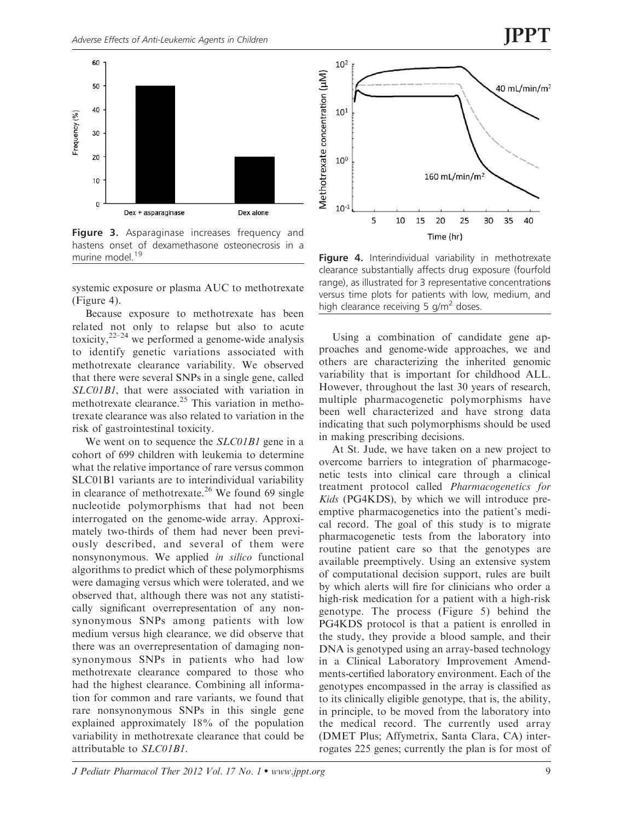

Figure 3. Asparaginase increases frequency and hastens onset of dexamethasone osteonecrosis in a<br>murine model.<sup>19</sup>

systemic exposure or plasma AUC to methotrexate (Figure 4).

Because exposure to methotrexate has been related not only to relapse but also to acute toxicity,  $2^{2-24}$  we performed a genome-wide analysis to identify genetic variations associated with methotrexate clearance variability. We observed that there were several SNPs in a single gene, called SLC01B1, that were associated with variation in methotrexate clearance.<sup>25</sup> This variation in methotrexate clearance was also related to variation in the risk of gastrointestinal toxicity.

We went on to sequence the *SLC01B1* gene in a cohort of 699 children with leukemia to determine what the relative importance of rare versus common SLC01B1 variants are to interindividual variability in clearance of methotrexate.<sup>26</sup> We found 69 single nucleotide polymorphisms that had not been interrogated on the genome-wide array. Approximately two-thirds of them had never been previously described, and several of them were nonsynonymous. We applied in silico functional algorithms to predict which of these polymorphisms were damaging versus which were tolerated, and we observed that, although there was not any statistically significant overrepresentation of any nonsynonymous SNPs among patients with low medium versus high clearance, we did observe that there was an overrepresentation of damaging nonsynonymous SNPs in patients who had low methotrexate clearance compared to those who had the highest clearance. Combining all information for common and rare variants, we found that rare nonsynonymous SNPs in this single gene explained approximately 18% of the population variability in methotrexate clearance that could be attributable to SLC01B1.



Figure 4. Interindividual variability in methotrexate clearance substantially affects drug exposure (fourfold range), as illustrated for 3 representative concentrations versus time plots for patients with low, medium, and high clearance receiving 5  $q/m^2$  doses.

Using a combination of candidate gene approaches and genome-wide approaches, we and others are characterizing the inherited genomic variability that is important for childhood ALL. However, throughout the last 30 years of research, multiple pharmacogenetic polymorphisms have been well characterized and have strong data indicating that such polymorphisms should be used in making prescribing decisions.

At St. Jude, we have taken on a new project to overcome barriers to integration of pharmacogenetic tests into clinical care through a clinical treatment protocol called Pharmacogenetics for Kids (PG4KDS), by which we will introduce preemptive pharmacogenetics into the patient's medical record. The goal of this study is to migrate pharmacogenetic tests from the laboratory into routine patient care so that the genotypes are available preemptively. Using an extensive system of computational decision support, rules are built by which alerts will fire for clinicians who order a high-risk medication for a patient with a high-risk genotype. The process (Figure 5) behind the PG4KDS protocol is that a patient is enrolled in the study, they provide a blood sample, and their DNA is genotyped using an array-based technology in a Clinical Laboratory Improvement Amendments-certified laboratory environment. Each of the genotypes encompassed in the array is classified as to its clinically eligible genotype, that is, the ability, in principle, to be moved from the laboratory into the medical record. The currently used array (DMET Plus; Affymetrix, Santa Clara, CA) interrogates 225 genes; currently the plan is for most of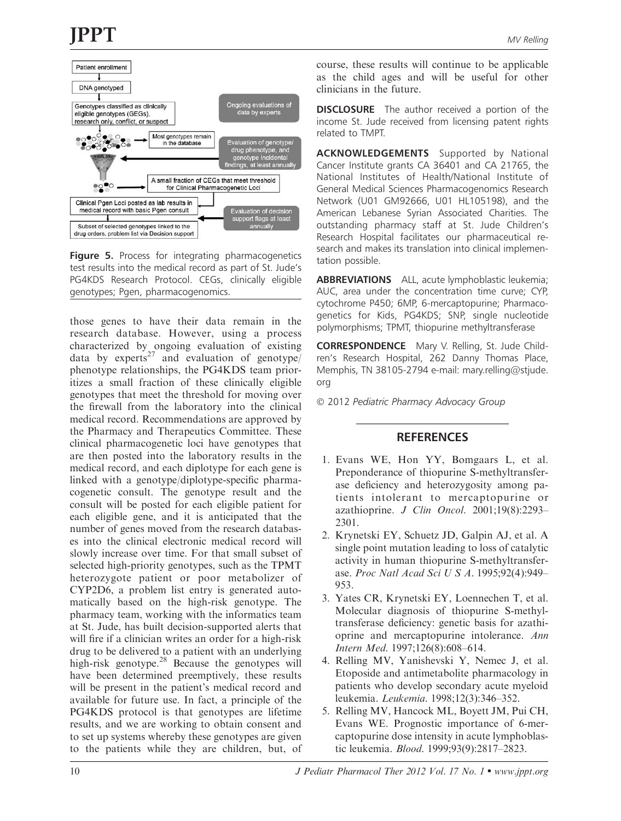

Figure 5. Process for integrating pharmacogenetics test results into the medical record as part of St. Jude's PG4KDS Research Protocol. CEGs, clinically eligible genotypes; Pgen, pharmacogenomics.

those genes to have their data remain in the research database. However, using a process characterized by ongoing evaluation of existing data by experts<sup>27</sup> and evaluation of genotype/ phenotype relationships, the PG4KDS team prioritizes a small fraction of these clinically eligible genotypes that meet the threshold for moving over the firewall from the laboratory into the clinical medical record. Recommendations are approved by the Pharmacy and Therapeutics Committee. These clinical pharmacogenetic loci have genotypes that are then posted into the laboratory results in the medical record, and each diplotype for each gene is linked with a genotype/diplotype-specific pharmacogenetic consult. The genotype result and the consult will be posted for each eligible patient for each eligible gene, and it is anticipated that the number of genes moved from the research databases into the clinical electronic medical record will slowly increase over time. For that small subset of selected high-priority genotypes, such as the TPMT heterozygote patient or poor metabolizer of CYP2D6, a problem list entry is generated automatically based on the high-risk genotype. The pharmacy team, working with the informatics team at St. Jude, has built decision-supported alerts that will fire if a clinician writes an order for a high-risk drug to be delivered to a patient with an underlying high-risk genotype.<sup>28</sup> Because the genotypes will have been determined preemptively, these results will be present in the patient's medical record and available for future use. In fact, a principle of the PG4KDS protocol is that genotypes are lifetime results, and we are working to obtain consent and to set up systems whereby these genotypes are given to the patients while they are children, but, of

course, these results will continue to be applicable as the child ages and will be useful for other clinicians in the future.

**DISCLOSURE** The author received a portion of the income St. Jude received from licensing patent rights related to TMPT.

ACKNOWLEDGEMENTS Supported by National Cancer Institute grants CA 36401 and CA 21765, the National Institutes of Health/National Institute of General Medical Sciences Pharmacogenomics Research Network (U01 GM92666, U01 HL105198), and the American Lebanese Syrian Associated Charities. The outstanding pharmacy staff at St. Jude Children's Research Hospital facilitates our pharmaceutical research and makes its translation into clinical implementation possible.

ABBREVIATIONS ALL, acute lymphoblastic leukemia; AUC, area under the concentration time curve; CYP, cytochrome P450; 6MP, 6-mercaptopurine; Pharmacogenetics for Kids, PG4KDS; SNP, single nucleotide polymorphisms; TPMT, thiopurine methyltransferase

CORRESPONDENCE Mary V. Relling, St. Jude Children's Research Hospital, 262 Danny Thomas Place, Memphis, TN 38105-2794 e-mail: mary.relling@stjude. org

© 2012 Pediatric Pharmacy Advocacy Group

## **REFERENCES**

- 1. Evans WE, Hon YY, Bomgaars L, et al. Preponderance of thiopurine S-methyltransferase deficiency and heterozygosity among patients intolerant to mercaptopurine or azathioprine. J Clin Oncol. 2001;19(8):2293-2301.
- 2. Krynetski EY, Schuetz JD, Galpin AJ, et al. A single point mutation leading to loss of catalytic activity in human thiopurine S-methyltransferase. Proc Natl Acad Sci U S A. 1995;92(4):949– 953.
- 3. Yates CR, Krynetski EY, Loennechen T, et al. Molecular diagnosis of thiopurine S-methyltransferase deficiency: genetic basis for azathioprine and mercaptopurine intolerance. Ann Intern Med. 1997;126(8):608–614.
- 4. Relling MV, Yanishevski Y, Nemec J, et al. Etoposide and antimetabolite pharmacology in patients who develop secondary acute myeloid leukemia. Leukemia. 1998;12(3):346–352.
- 5. Relling MV, Hancock ML, Boyett JM, Pui CH, Evans WE. Prognostic importance of 6-mercaptopurine dose intensity in acute lymphoblastic leukemia. Blood. 1999;93(9):2817–2823.